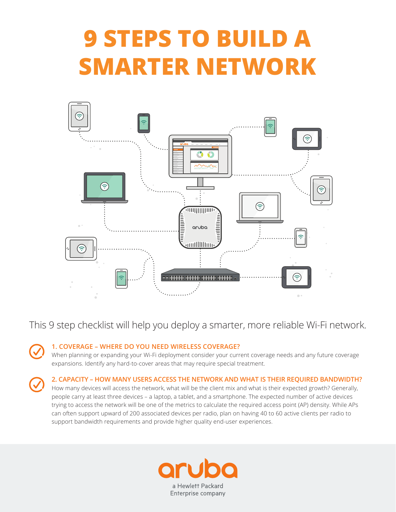# **9 STEPS TO BUILD A SMARTER NETWORK**



This 9 step checklist will help you deploy a smarter, more reliable Wi-Fi network.

# **1. COVERAGE – WHERE DO YOU NEED WIRELESS COVERAGE?**

When planning or expanding your Wi-Fi deployment consider your current coverage needs and any future coverage expansions. Identify any hard-to-cover areas that may require special treatment.

### **2. CAPACITY – HOW MANY USERS ACCESS THE NETWORK AND WHAT IS THEIR REQUIRED BANDWIDTH?**

How many devices will access the network, what will be the client mix and what is their expected growth? Generally, people carry at least three devices – a laptop, a tablet, and a smartphone. The expected number of active devices trying to access the network will be one of the metrics to calculate the required access point (AP) density. While APs can often support upward of 200 associated devices per radio, plan on having 40 to 60 active clients per radio to support bandwidth requirements and provide higher quality end-user experiences.